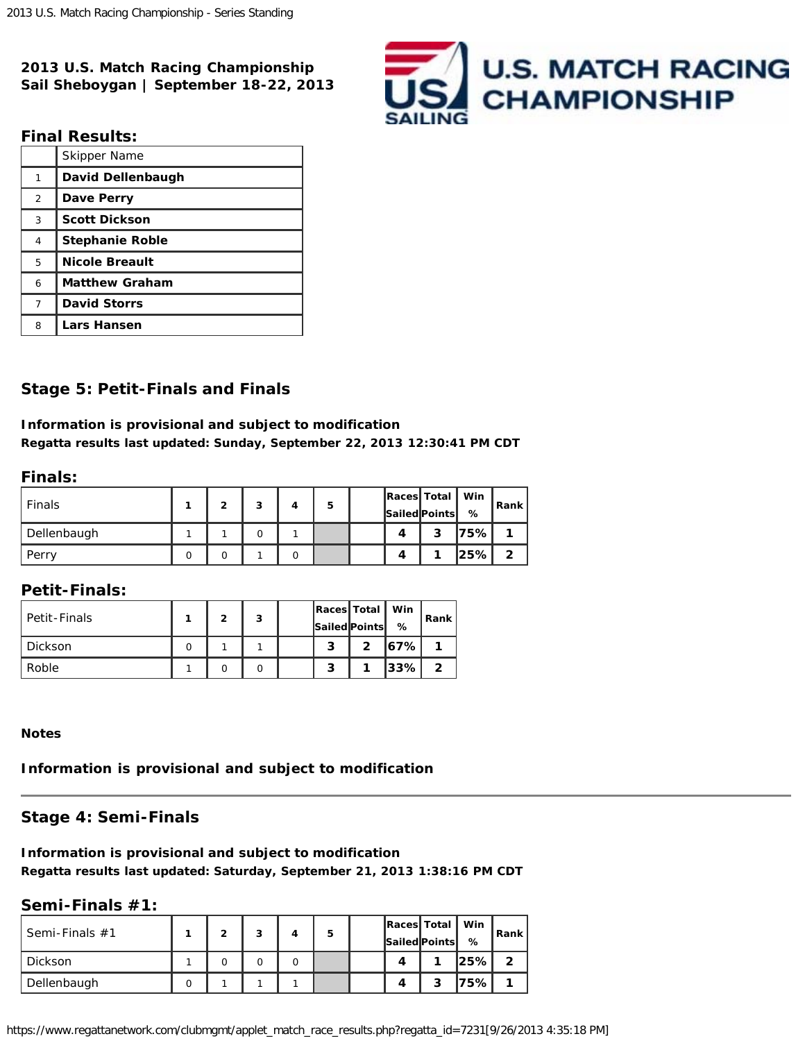**2013 U.S. Match Racing Championship Sail Sheboygan | September 18-22, 2013**



## **Final Results:**

|                | Skipper Name           |
|----------------|------------------------|
| 1              | David Dellenbaugh      |
| $\overline{2}$ | Dave Perry             |
| 3              | <b>Scott Dickson</b>   |
| 4              | <b>Stephanie Roble</b> |
| 5              | <b>Nicole Breault</b>  |
| 6              | <b>Matthew Graham</b>  |
| 7              | <b>David Storrs</b>    |
| 8              | <b>Lars Hansen</b>     |

# **Stage 5: Petit-Finals and Finals**

### **Information is provisional and subject to modification Regatta results last updated: Sunday, September 22, 2013 12:30:41 PM CDT**

## **Finals:**

| Finals      |  | 3 | 5 |   | Races Total   Win<br>Sailed Points | ℅            | Rank         |
|-------------|--|---|---|---|------------------------------------|--------------|--------------|
| Dellenbaugh |  |   |   | Δ | 3                                  | 75%          |              |
| Perry       |  |   |   | 4 |                                    | <u> 25% </u> | $\mathbf{2}$ |

# **Petit-Finals:**

| Petit-Finals | ≘ | 3 |        | Races   Total   Win<br>Sailed Points | %     | Rank |
|--------------|---|---|--------|--------------------------------------|-------|------|
| Dickson      |   |   | ິ<br>◡ | 2                                    | 167%I |      |
| Roble        |   |   | - 1    |                                      | 33%   | ົ    |

#### **Notes**

#### **Information is provisional and subject to modification**

## **Stage 4: Semi-Finals**

## **Information is provisional and subject to modification Regatta results last updated: Saturday, September 21, 2013 1:38:16 PM CDT**

#### **Semi-Finals #1:**

| Semi-Finals #1 |  | 3 | 5 |  | Races Total<br><b>Sailed Points</b> | Win<br>℅ | Rank |
|----------------|--|---|---|--|-------------------------------------|----------|------|
| Dickson        |  |   |   |  |                                     | $ 25\% $ | 2    |
| Dellenbaugh    |  |   |   |  | 2                                   | 175% l   |      |

https://www.regattanetwork.com/clubmgmt/applet\_match\_race\_results.php?regatta\_id=7231[9/26/2013 4:35:18 PM]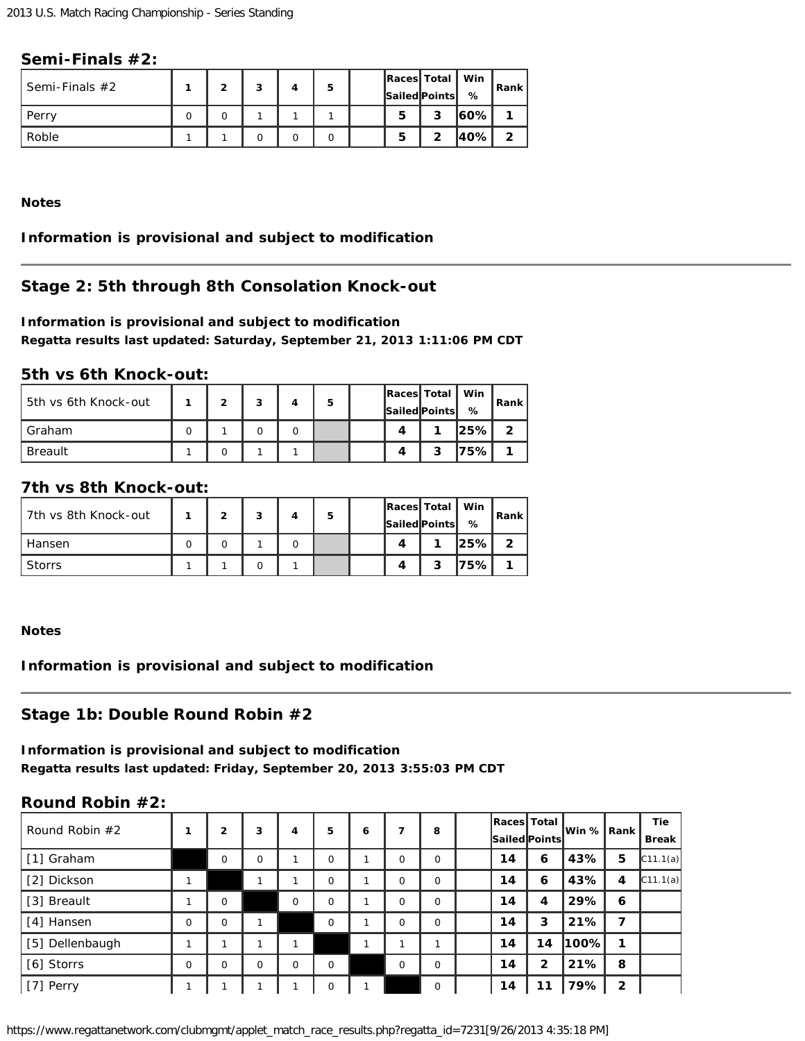## **Semi-Finals #2:**

| Semi-Finals $#2$ |  | 3 | 5 |   | Races Total<br>Sailed Points | Win<br>% | Rank |
|------------------|--|---|---|---|------------------------------|----------|------|
| Perry            |  |   |   | 5 | 3                            | l60%l    |      |
| Roble            |  |   |   | 5 | າ                            | l40%l    | ົ    |

**Notes**

# **Information is provisional and subject to modification**

# **Stage 2: 5th through 8th Consolation Knock-out**

## **Information is provisional and subject to modification Regatta results last updated: Saturday, September 21, 2013 1:11:06 PM CDT**

## **5th vs 6th Knock-out:**

| 5th vs 6th Knock-out | 2 | з | 5 |   | Races Total   Win<br>Sailed Points | ℅            | <b>Rank</b> |
|----------------------|---|---|---|---|------------------------------------|--------------|-------------|
| Graham               |   |   |   | Δ |                                    | <u> 25% </u> | າ           |
| <b>Breault</b>       |   |   |   | Δ | 2                                  | 75%          |             |

## **7th vs 8th Knock-out:**

| 7th vs 8th Knock-out | ົ | ິ | 5 |  | Races Total<br><b>Sailed Points</b> | Win<br>℅ | Rank         |
|----------------------|---|---|---|--|-------------------------------------|----------|--------------|
| Hansen               |   |   |   |  |                                     | l25%l    | $\mathbf{2}$ |
| <b>Storrs</b>        |   |   |   |  | э                                   | 75%      |              |

#### **Notes**

**Information is provisional and subject to modification**

# **Stage 1b: Double Round Robin #2**

#### **Information is provisional and subject to modification Regatta results last updated: Friday, September 20, 2013 3:55:03 PM CDT**

#### **Round Robin #2:**

| Round Robin $#2$ |          | 2        | 3        | 4        | 5        | 6 | 7        | 8           | Races Total<br><b>Sailed</b> Points |    | lWin %   Rank |                | <b>Tie</b><br>Break <sup>!</sup> |
|------------------|----------|----------|----------|----------|----------|---|----------|-------------|-------------------------------------|----|---------------|----------------|----------------------------------|
| [1] Graham       |          | $\Omega$ | $\Omega$ |          | $\Omega$ |   | $\Omega$ | $\Omega$    | 14                                  | 6  | 43%           | 5              | C11.1(a)                         |
| [2] Dickson      |          |          |          |          | $\Omega$ |   | $\Omega$ | $\Omega$    | 14                                  | 6  | 43%           | 4              | C11.1(a)                         |
| [3] Breault      |          | $\Omega$ |          | $\Omega$ | $\Omega$ |   | $\Omega$ | $\Omega$    | 14                                  | 4  | 29%           | 6              |                                  |
| [4] Hansen       | $\Omega$ | $\Omega$ |          |          | $\Omega$ |   | $\Omega$ | $\Omega$    | 14                                  | 3  | 21%           | 7              |                                  |
| [5] Dellenbaugh  |          |          |          |          |          |   |          |             | 14                                  | 14 | 100%          | 1              |                                  |
| [6] Storrs       | $\Omega$ | $\Omega$ | $\Omega$ | $\Omega$ | $\Omega$ |   | $\Omega$ | $\Omega$    | 14                                  | 2  | 21%           | 8              |                                  |
| [7] Perry        |          |          |          |          | O        |   |          | $\mathbf 0$ | 14                                  | 11 | 79%           | $\overline{2}$ |                                  |

https://www.regattanetwork.com/clubmgmt/applet\_match\_race\_results.php?regatta\_id=7231[9/26/2013 4:35:18 PM]